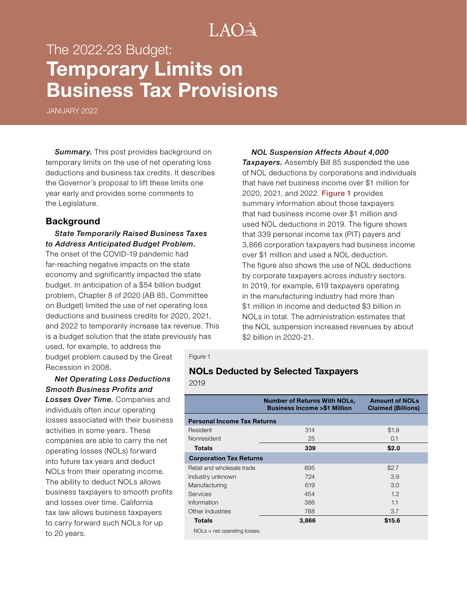# $LAO<sup>3</sup>$

# The 2022-23 Budget: **Temporary Limits on Business Tax Provisions**

JANUARY 2022

*Summary.* This post provides background on temporary limits on the use of net operating loss deductions and business tax credits. It describes the Governor's proposal to lift these limits one year early and provides some comments to the Legislature.

#### **Background**

#### *State Temporarily Raised Business Taxes to Address Anticipated Budget Problem.*

The onset of the COVID-19 pandemic had far-reaching negative impacts on the state economy and significantly impacted the state budget. In anticipation of a \$54 billion budget problem, Chapter 8 of 2020 (AB 85, Committee on Budget) limited the use of net operating loss deductions and business credits for 2020, 2021, and 2022 to temporarily increase tax revenue. This is a budget solution that the state previously has

used, for example, to address the budget problem caused by the Great Recession in 2008.

#### *Net Operating Loss Deductions Smooth Business Profits and Losses Over Time.* Companies and

individuals often incur operating losses associated with their business activities in some years. These companies are able to carry the net operating losses (NOLs) forward into future tax years and deduct NOLs from their operating income. The ability to deduct NOLs allows business taxpayers to smooth profits and losses over time. California tax law allows business taxpayers to carry forward such NOLs for up to 20 years.

*NOL Suspension Affects About 4,000 Taxpayers.* Assembly Bill 85 suspended the use of NOL deductions by corporations and individuals that have net business income over \$1 million for 2020, 2021, and 2022. Figure 1 provides summary information about those taxpayers that had business income over \$1 million and used NOL deductions in 2019. The figure shows that 339 personal income tax (PIT) payers and 3,866 corporation taxpayers had business income over \$1 million and used a NOL deduction. The figure also shows the use of NOL deductions by corporate taxpayers across industry sectors. In 2019, for example, 619 taxpayers operating in the manufacturing industry had more than \$1 million in income and deducted \$3 billion in NOLs in total. The administration estimates that the NOL suspension increased revenues by about \$2 billion in 2020-21.

#### Figure 1

## **NOLs Deducted by Selected Taxpayers**

2019

|                                    | <b>Number of Returns With NOLs,</b><br><b>Business Income &gt;\$1 Million</b> | <b>Amount of NOLs</b><br><b>Claimed (Billions)</b> |
|------------------------------------|-------------------------------------------------------------------------------|----------------------------------------------------|
| <b>Personal Income Tax Returns</b> |                                                                               |                                                    |
| Resident                           | 314                                                                           | \$1.9                                              |
| Nonresident                        | 25                                                                            | 0.1                                                |
| <b>Totals</b>                      | 339                                                                           | \$2.0                                              |
| <b>Corporation Tax Returns</b>     |                                                                               |                                                    |
| Retail and wholesale trade         | 895                                                                           | \$2.7                                              |
| Industry unknown                   | 724                                                                           | 3.9                                                |
| Manufacturing                      | 619                                                                           | 3.0                                                |
| Services                           | 454                                                                           | 1.2                                                |
| Information                        | 386                                                                           | 1.1                                                |
| Other industries                   | 788                                                                           | 3.7                                                |
| Totals                             | 3,866                                                                         | \$15.6                                             |

NOLs = net operating losses.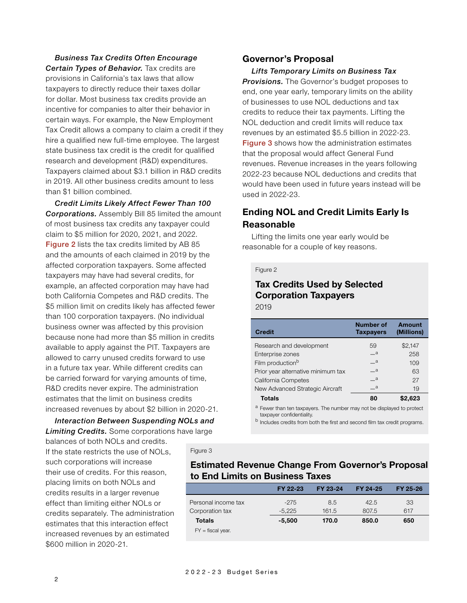#### *Business Tax Credits Often Encourage Certain Types of Behavior.* Tax credits are

provisions in California's tax laws that allow taxpayers to directly reduce their taxes dollar for dollar. Most business tax credits provide an incentive for companies to alter their behavior in certain ways. For example, the New Employment Tax Credit allows a company to claim a credit if they hire a qualified new full-time employee. The largest state business tax credit is the credit for qualified research and development (R&D) expenditures. Taxpayers claimed about \$3.1 billion in R&D credits in 2019. All other business credits amount to less than \$1 billion combined.

*Credit Limits Likely Affect Fewer Than 100 Corporations.* Assembly Bill 85 limited the amount of most business tax credits any taxpayer could claim to \$5 million for 2020, 2021, and 2022. Figure 2 lists the tax credits limited by AB 85 and the amounts of each claimed in 2019 by the affected corporation taxpayers. Some affected taxpayers may have had several credits, for example, an affected corporation may have had both California Competes and R&D credits. The \$5 million limit on credits likely has affected fewer than 100 corporation taxpayers. (No individual business owner was affected by this provision because none had more than \$5 million in credits available to apply against the PIT. Taxpayers are allowed to carry unused credits forward to use in a future tax year. While different credits can be carried forward for varying amounts of time, R&D credits never expire. The administration estimates that the limit on business credits increased revenues by about \$2 billion in 2020-21.

# *Interaction Between Suspending NOLs and*

*Limiting Credits.* Some corporations have large balances of both NOLs and credits.

If the state restricts the use of NOLs, such corporations will increase their use of credits. For this reason, placing limits on both NOLs and credits results in a larger revenue effect than limiting either NOLs or credits separately. The administration estimates that this interaction effect increased revenues by an estimated \$600 million in 2020-21.

## **Governor's Proposal**

*Lifts Temporary Limits on Business Tax Provisions.* The Governor's budget proposes to end, one year early, temporary limits on the ability of businesses to use NOL deductions and tax credits to reduce their tax payments. Lifting the NOL deduction and credit limits will reduce tax revenues by an estimated \$5.5 billion in 2022-23. Figure 3 shows how the administration estimates that the proposal would affect General Fund revenues. Revenue increases in the years following 2022-23 because NOL deductions and credits that would have been used in future years instead will be used in 2022-23.

# **Ending NOL and Credit Limits Early Is Reasonable**

Lifting the limits one year early would be reasonable for a couple of key reasons.

#### Figure 2

## **Tax Credits Used by Selected Corporation Taxpayers** 2019

| <b>Credit</b>                                                                     | <b>Number of</b><br><b>Taxpayers</b> | <b>Amount</b><br>(Millions) |  |  |
|-----------------------------------------------------------------------------------|--------------------------------------|-----------------------------|--|--|
| Research and development                                                          | 59                                   | \$2,147                     |  |  |
| Enterprise zones                                                                  | $\mathbf{a}$                         | 258                         |  |  |
| Film production <sup>b</sup>                                                      | $\mathbf{a}$                         | 109                         |  |  |
| Prior year alternative minimum tax                                                | $\overline{\phantom{a}}$ a           | 63                          |  |  |
| California Competes                                                               | $\mathbf{a}$                         | 27                          |  |  |
| New Advanced Strategic Aircraft                                                   | $\mathbf{a}$                         | 19                          |  |  |
| <b>Totals</b>                                                                     | 80                                   | \$2,623                     |  |  |
| <sup>a</sup> Fewer than ten taxpayers. The number may not be displayed to protect |                                      |                             |  |  |

taxpayer confidentiality.

<sup>b</sup> Includes credits from both the first and second film tax credit programs.

## **Estimated Revenue Change From Governor's Proposal to End Limits on Business Taxes**

|                     | FY 22-23 | FY 23-24 | FY 24-25 | FY 25-26 |
|---------------------|----------|----------|----------|----------|
| Personal income tax | -275     | 8.5      | 42.5     | 33       |
| Corporation tax     | $-5.225$ | 161.5    | 807.5    | 617      |
| <b>Totals</b>       | $-5,500$ | 170.0    | 850.0    | 650      |
| $FY =$ fiscal year. |          |          |          |          |

Figure 3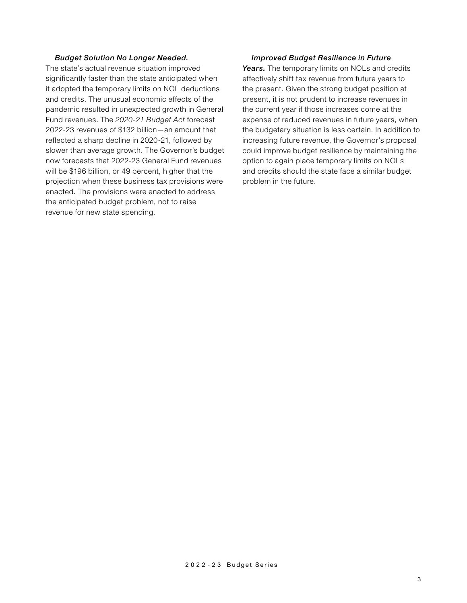#### *Budget Solution No Longer Needed.*

The state's actual revenue situation improved significantly faster than the state anticipated when it adopted the temporary limits on NOL deductions and credits. The unusual economic effects of the pandemic resulted in unexpected growth in General Fund revenues. The *2020-21 Budget Act* forecast 2022-23 revenues of \$132 billion—an amount that reflected a sharp decline in 2020-21, followed by slower than average growth. The Governor's budget now forecasts that 2022-23 General Fund revenues will be \$196 billion, or 49 percent, higher that the projection when these business tax provisions were enacted. The provisions were enacted to address the anticipated budget problem, not to raise revenue for new state spending.

#### *Improved Budget Resilience in Future*

Years. The temporary limits on NOLs and credits effectively shift tax revenue from future years to the present. Given the strong budget position at present, it is not prudent to increase revenues in the current year if those increases come at the expense of reduced revenues in future years, when the budgetary situation is less certain. In addition to increasing future revenue, the Governor's proposal could improve budget resilience by maintaining the option to again place temporary limits on NOLs and credits should the state face a similar budget problem in the future.